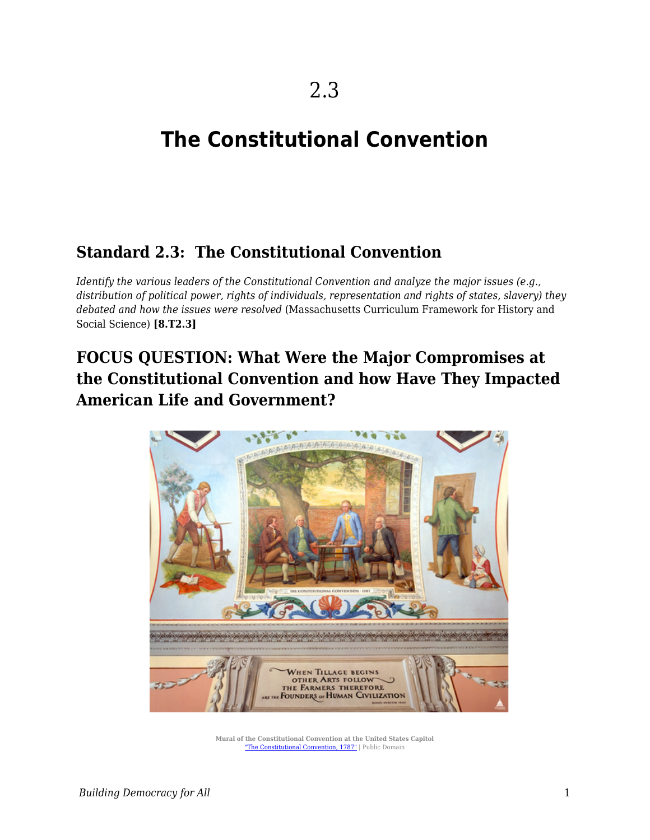# **The Constitutional Convention**

# **Standard 2.3: The Constitutional Convention**

*Identify the various leaders of the Constitutional Convention and analyze the major issues (e.g., distribution of political power, rights of individuals, representation and rights of states, slavery) they debated and how the issues were resolved* (Massachusetts Curriculum Framework for History and Social Science) **[8.T2.3]**

# **FOCUS QUESTION: What Were the Major Compromises at the Constitutional Convention and how Have They Impacted American Life and Government?**



**Mural of the Constitutional Convention at the United States Capitol** ["The Constitutional Convention, 1787"](https://commons.wikimedia.org/w/index.php?search=Mural+of+the+The+Constitutional+Convention+at+the+United+States+Capitol&title=Special%3ASearch&go=Go&ns0=1&ns6=1&ns12=1&ns14=1&ns100=1&ns106=1#/media/File:Flickr_-_USCapitol_-_The_Constitutional_Convention,_1787.jpg) | Public Domain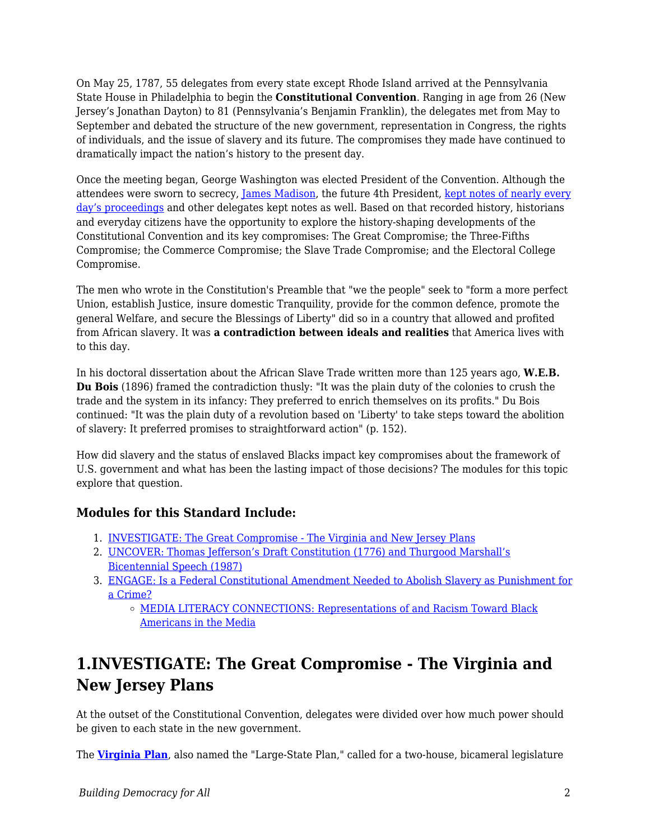On May 25, 1787, 55 delegates from every state except Rhode Island arrived at the Pennsylvania State House in Philadelphia to begin the **Constitutional Convention**. Ranging in age from 26 (New Jersey's Jonathan Dayton) to 81 (Pennsylvania's Benjamin Franklin), the delegates met from May to September and debated the structure of the new government, representation in Congress, the rights of individuals, and the issue of slavery and its future. The compromises they made have continued to dramatically impact the nation's history to the present day.

Once the meeting began, George Washington was elected President of the Convention. Although the attendees were sworn to secrecy, [James Madison](https://www.montpelier.org/learn/the-life-of-james-madison), the future 4th President, [kept notes of nearly every](https://avalon.law.yale.edu/subject_menus/debcont.asp) [day's proceedings](https://avalon.law.yale.edu/subject_menus/debcont.asp) and other delegates kept notes as well. Based on that recorded history, historians and everyday citizens have the opportunity to explore the history-shaping developments of the Constitutional Convention and its key compromises: The Great Compromise; the Three-Fifths Compromise; the Commerce Compromise; the Slave Trade Compromise; and the Electoral College Compromise.

The men who wrote in the Constitution's Preamble that "we the people" seek to "form a more perfect Union, establish Justice, insure domestic Tranquility, provide for the common defence, promote the general Welfare, and secure the Blessings of Liberty" did so in a country that allowed and profited from African slavery. It was **a contradiction between ideals and realities** that America lives with to this day.

In his doctoral dissertation about the African Slave Trade written more than 125 years ago, **W.E.B. Du Bois** (1896) framed the contradiction thusly: "It was the plain duty of the colonies to crush the trade and the system in its infancy: They preferred to enrich themselves on its profits." Du Bois continued: "It was the plain duty of a revolution based on 'Liberty' to take steps toward the abolition of slavery: It preferred promises to straightforward action" (p. 152).

How did slavery and the status of enslaved Blacks impact key compromises about the framework of U.S. government and what has been the lasting impact of those decisions? The modules for this topic explore that question.

### **Modules for this Standard Include:**

- 1. [INVESTIGATE: The Great Compromise The Virginia and New Jersey Plans](https://edtechbooks.org/democracy/convention#h2_wxqam)
- 2. [UNCOVER: Thomas Jefferson's Draft Constitution \(1776\) and Thurgood Marshall's](https://edtechbooks.org/democracy/convention#h2_iBvtD) [Bicentennial Speech \(1987\)](https://edtechbooks.org/democracy/convention#h2_iBvtD)
- 3. [ENGAGE: Is a Federal Constitutional Amendment Needed to Abolish Slavery as Punishment for](https://edtechbooks.org/democracy/convention#h2_KTaIf) [a Crime?](https://edtechbooks.org/democracy/convention#h2_KTaIf)
	- o [MEDIA LITERACY CONNECTIONS: Representations of and Racism Toward Black](https://edtechbooks.org/democracy/convention#h3_YSCs) [Americans in the Media](https://edtechbooks.org/democracy/convention#h3_YSCs)

# **1.INVESTIGATE: The Great Compromise - The Virginia and New Jersey Plans**

At the outset of the Constitutional Convention, delegates were divided over how much power should be given to each state in the new government.

The **[Virginia Plan](http://www.ourdocuments.gov/doc.php?flash=false&doc=7)**, also named the "Large-State Plan," called for a two-house, bicameral legislature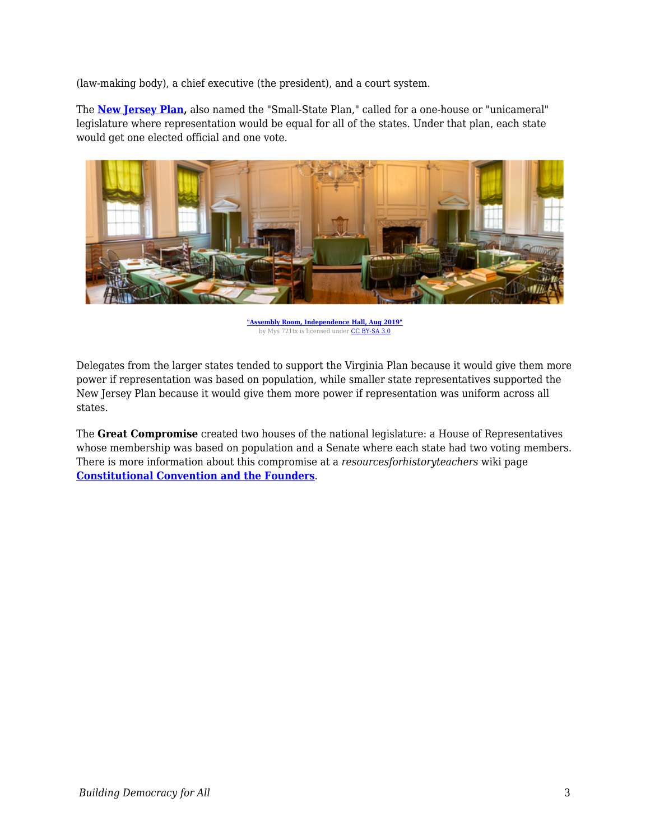(law-making body), a chief executive (the president), and a court system.

The **[New Jersey Plan](https://www.nps.gov/articles/constitutionalconvention-june15.htm),** also named the "Small-State Plan," called for a one-house or "unicameral" legislature where representation would be equal for all of the states. Under that plan, each state would get one elected official and one vote.



**["Assembly Room, Independence Hall, Aug 2019"](https://commons.wikimedia.org/wiki/File:Assembly_Room,_Independence_Hall,_Aug_2019.jpg)** by Mys 721tx is licensed under [CC BY-SA 3.0](https://creativecommons.org/licenses/by-sa/3.0)

Delegates from the larger states tended to support the Virginia Plan because it would give them more power if representation was based on population, while smaller state representatives supported the New Jersey Plan because it would give them more power if representation was uniform across all states.

The **Great Compromise** created two houses of the national legislature: a House of Representatives whose membership was based on population and a Senate where each state had two voting members. There is more information about this compromise at a *resourcesforhistoryteachers* wiki page **[Constitutional Convention and the Founders](http://resourcesforhistoryteachers.pbworks.com/w/page/125124386/Constitutional%20Convention%20and%20the%20Founders)**.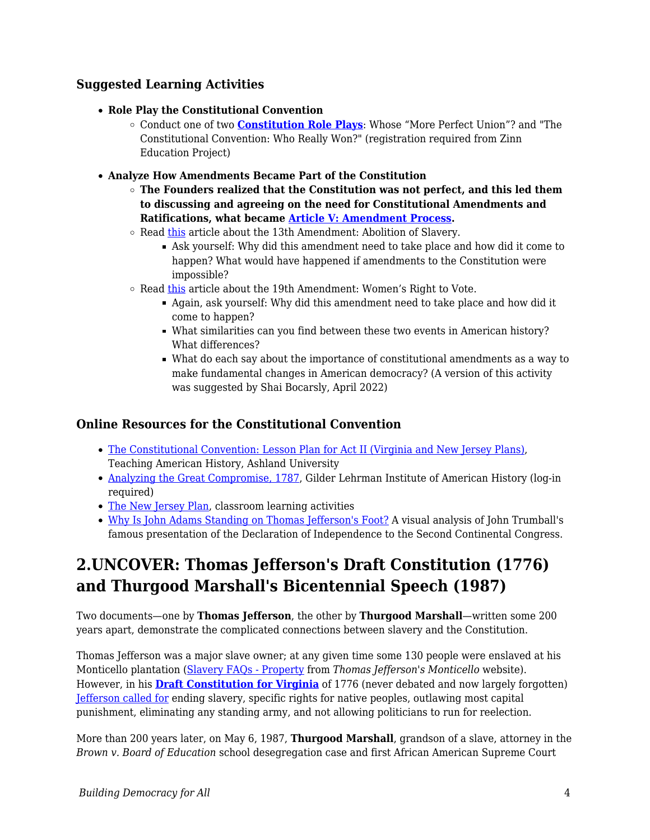#### **Suggested Learning Activities**

- **Role Play the Constitutional Convention**
	- Conduct one of two **[Constitution Role Plays](https://www.zinnedproject.org/materials/constitution-role-play/)**: Whose "More Perfect Union"? and "The Constitutional Convention: Who Really Won?" (registration required from Zinn Education Project)
- **Analyze How Amendments Became Part of the Constitution**
	- **The Founders realized that the Constitution was not perfect, and this led them to discussing and agreeing on the need for Constitutional Amendments and Ratifications, what became [Article V: Amendment Process](https://constitutioncenter.org/interactive-constitution/article/article-v).**
	- Read [this](https://www.archives.gov/milestone-documents/13th-amendment#:~:text=Passed%20by%20Congress%20on%20January,slavery%20in%20the%20United%20States.) article about the 13th Amendment: Abolition of Slavery.
		- Ask yourself: Why did this amendment need to take place and how did it come to happen? What would have happened if amendments to the Constitution were impossible?
	- $\circ$  Read [this](https://www.archives.gov/historical-docs/19th-amendment#:~:text=Passed%20by%20Congress%20June%204,women%20the%20right%20to%20vote.) article about the 19th Amendment: Women's Right to Vote.
		- Again, ask yourself: Why did this amendment need to take place and how did it come to happen?
		- What similarities can you find between these two events in American history? What differences?
		- What do each say about the importance of constitutional amendments as a way to make fundamental changes in American democracy? (A version of this activity was suggested by Shai Bocarsly, April 2022)

#### **Online Resources for the Constitutional Convention**

- [The Constitutional Convention: Lesson Plan for Act II \(Virginia and New Jersey Plans\)](https://teachingamericanhistory.org/resources/lessonplans/act2/), Teaching American History, Ashland University
- [Analyzing the Great Compromise, 1787](https://www.gilderlehrman.org/content/analyzing-great-compromise-1787), Gilder Lehrman Institute of American History (log-in required)
- [The New Jersey Plan,](https://www.nps.gov/articles/constitutionalconvention-june15.htm) classroom learning activities
- [Why Is John Adams Standing on Thomas Jefferson's Foot?](https://www.umbc.edu/che/tahlessons/lessondisplay.php?lesson=62) A visual analysis of John Trumball's famous presentation of the Declaration of Independence to the Second Continental Congress.

# **2.UNCOVER: Thomas Jefferson's Draft Constitution (1776) and Thurgood Marshall's Bicentennial Speech (1987)**

Two documents—one by **Thomas Jefferson**, the other by **Thurgood Marshall**—written some 200 years apart, demonstrate the complicated connections between slavery and the Constitution.

Thomas Jefferson was a major slave owner; at any given time some 130 people were enslaved at his Monticello plantation [\(Slavery FAQs - Property](https://www.monticello.org/slavery/slavery-faqs/property/) from *Thomas Jefferson's Monticello* website). However, in his **[Draft Constitution for Virginia](https://founders.archives.gov/documents/Jefferson/01-06-02-0255-0004)** of 1776 (never debated and now largely forgotten) [Jefferson called for](http://www.history.org/foundation/journal/spring07/jefferson.cfm) ending slavery, specific rights for native peoples, outlawing most capital punishment, eliminating any standing army, and not allowing politicians to run for reelection.

More than 200 years later, on May 6, 1987, **Thurgood Marshall**, grandson of a slave, attorney in the *Brown v. Board of Education* school desegregation case and first African American Supreme Court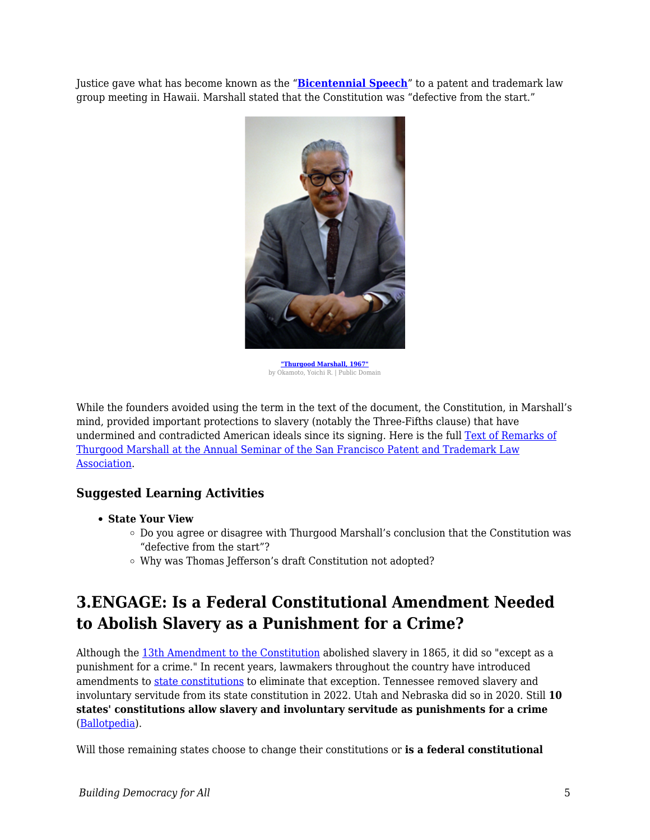Justice gave what has become known as the "**[Bicentennial Speech](http://thurgoodmarshall.com/the-bicentennial-speech/)**" to a patent and trademark law group meeting in Hawaii. Marshall stated that the Constitution was "defective from the start."



**["Thurgood Marshall, 1967"](https://commons.wikimedia.org/wiki/File:Thurgoodmarshall1967.jpg)** by Okamoto, Yoichi R. | Public Domain

While the founders avoided using the term in the text of the document, the Constitution, in Marshall's mind, provided important protections to slavery (notably the Three-Fifths clause) that have undermined and contradicted American ideals since its signing. Here is the full [Text of Remarks of](http://thurgoodmarshall.com/the-bicentennial-speech/) [Thurgood Marshall at the Annual Seminar of the San Francisco Patent and Trademark Law](http://thurgoodmarshall.com/the-bicentennial-speech/) [Association](http://thurgoodmarshall.com/the-bicentennial-speech/).

### **Suggested Learning Activities**

- **State Your View**
	- $\circ$  Do you agree or disagree with Thurgood Marshall's conclusion that the Constitution was "defective from the start"?
	- Why was Thomas Jefferson's draft Constitution not adopted?

# **3.ENGAGE: Is a Federal Constitutional Amendment Needed to Abolish Slavery as a Punishment for a Crime?**

Although the [13th Amendment to the Constitution](https://www.archives.gov/milestone-documents/13th-amendment) abolished slavery in 1865, it did so "except as a punishment for a crime." In recent years, lawmakers throughout the country have introduced amendments to [state constitutions](https://www.ncsl.org/blog/2017/11/17/your-states-constitution-the-peoples-document.aspx) to eliminate that exception. Tennessee removed slavery and involuntary servitude from its state constitution in 2022. Utah and Nebraska did so in 2020. Still **10 states' constitutions allow slavery and involuntary servitude as punishments for a crime** ([Ballotpedia](https://ballotpedia.org/Tennessee_Remove_Slavery_as_Punishment_for_Crime_from_Constitution_Amendment_(2022))).

Will those remaining states choose to change their constitutions or **is a federal constitutional**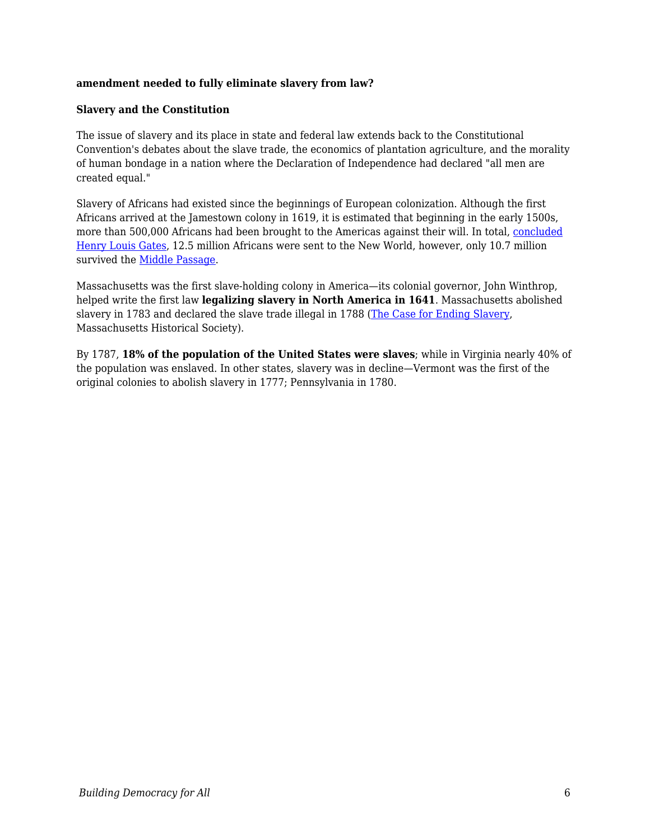#### **amendment needed to fully eliminate slavery from law?**

#### **Slavery and the Constitution**

The issue of slavery and its place in state and federal law extends back to the Constitutional Convention's debates about the slave trade, the economics of plantation agriculture, and the morality of human bondage in a nation where the Declaration of Independence had declared "all men are created equal."

Slavery of Africans had existed since the beginnings of European colonization. Although the first Africans arrived at the Jamestown colony in 1619, it is estimated that beginning in the early 1500s, more than 500,000 Africans had been brought to the Americas against their will. In total, [concluded](https://www.pbs.org/wnet/african-americans-many-rivers-to-cross/history/how-many-slaves-landed-in-the-us/) [Henry Louis Gates,](https://www.pbs.org/wnet/african-americans-many-rivers-to-cross/history/how-many-slaves-landed-in-the-us/) 12.5 million Africans were sent to the New World, however, only 10.7 million survived the [Middle Passage](https://www.pbs.org/wgbh/aia/part1/1p277.html).

Massachusetts was the first slave-holding colony in America—its colonial governor, John Winthrop, helped write the first law **legalizing slavery in North America in 1641**. Massachusetts abolished slavery in 1783 and declared the slave trade illegal in 1788 ([The Case for Ending Slavery](https://www.masshist.org/teaching-history-f/loc-slavery/index.php), Massachusetts Historical Society).

By 1787, **18% of the population of the United States were slaves**; while in Virginia nearly 40% of the population was enslaved. In other states, slavery was in decline—Vermont was the first of the original colonies to abolish slavery in 1777; Pennsylvania in 1780.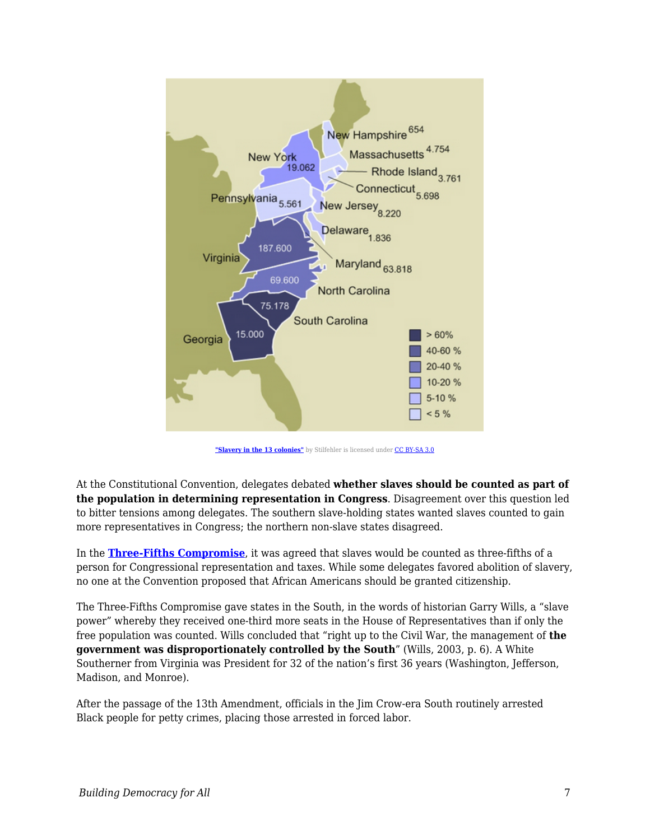

["Slavery in the 13 colonies"](https://commons.wikimedia.org/wiki/File:Slavery_in_the_13_colonies.jpg) by Stilfehler is licensed under [CC BY-SA 3.0](https://creativecommons.org/licenses/by-sa/3.0/deed.en)

At the Constitutional Convention, delegates debated **whether slaves should be counted as part of the population in determining representation in Congress**. Disagreement over this question led to bitter tensions among delegates. The southern slave-holding states wanted slaves counted to gain more representatives in Congress; the northern non-slave states disagreed.

In the **[Three-Fifths Compromise](http://www.digitalhistory.uh.edu/disp_textbook.cfm?smtID=3&psid=163)**, it was agreed that slaves would be counted as three-fifths of a person for Congressional representation and taxes. While some delegates favored abolition of slavery, no one at the Convention proposed that African Americans should be granted citizenship.

The Three-Fifths Compromise gave states in the South, in the words of historian Garry Wills, a "slave power" whereby they received one-third more seats in the House of Representatives than if only the free population was counted. Wills concluded that "right up to the Civil War, the management of **the government was disproportionately controlled by the South**" (Wills, 2003, p. 6). A White Southerner from Virginia was President for 32 of the nation's first 36 years (Washington, Jefferson, Madison, and Monroe).

After the passage of the 13th Amendment, officials in the Jim Crow-era South routinely arrested Black people for petty crimes, placing those arrested in forced labor.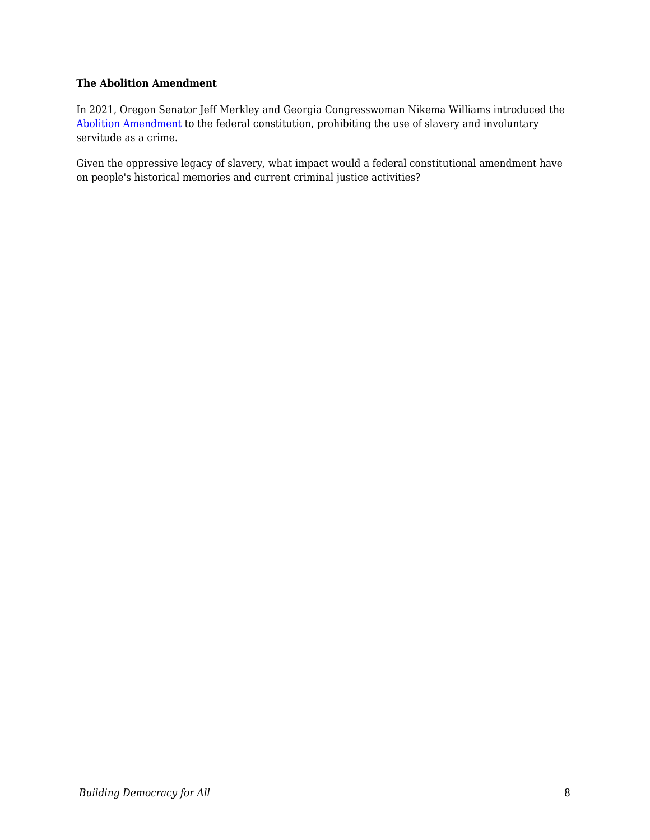#### **The Abolition Amendment**

In 2021, Oregon Senator Jeff Merkley and Georgia Congresswoman Nikema Williams introduced the [Abolition Amendment](https://www.merkley.senate.gov/news/press-releases/ahead-of-juneteenth-merkley-williams-propose-constitutional-amendment-to-close-slavery-loophole-in-13th-amendment-2021) to the federal constitution, prohibiting the use of slavery and involuntary servitude as a crime.

Given the oppressive legacy of slavery, what impact would a federal constitutional amendment have on people's historical memories and current criminal justice activities?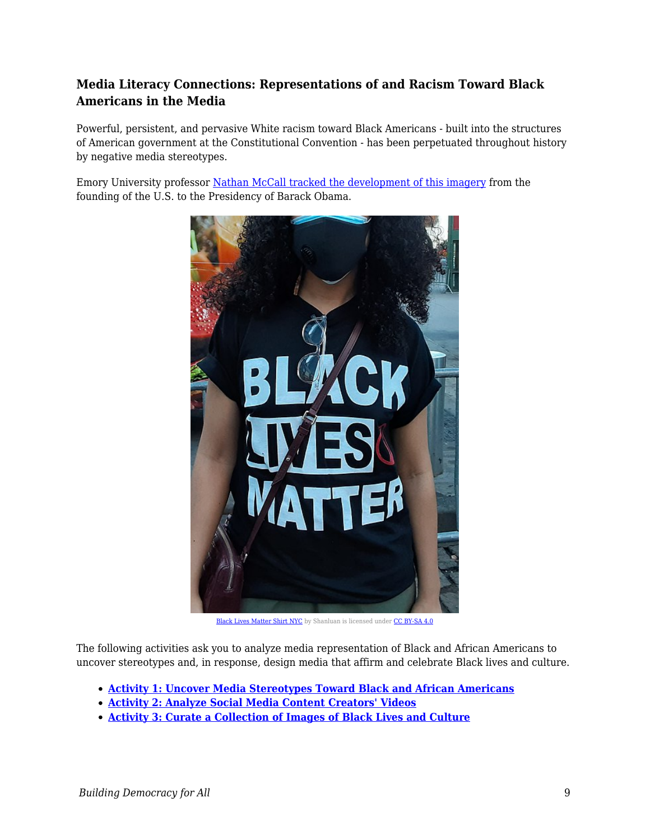## **Media Literacy Connections: Representations of and Racism Toward Black Americans in the Media**

Powerful, persistent, and pervasive White racism toward Black Americans - built into the structures of American government at the Constitutional Convention - has been perpetuated throughout history by negative media stereotypes.

Emory University professor [Nathan McCall tracked the development of this imagery](https://www.c-span.org/video/?304560-1/history-african-american-images-media) from the founding of the U.S. to the Presidency of Barack Obama.



[Black Lives Matter Shirt NYC](https://commons.wikimedia.org/wiki/File:Black_Lives_Matter_Shirt_NYC.jpg) by Shanluan is licensed under [CC BY-SA 4.0](https://creativecommons.org/licenses/by-sa/4.0/deed.en)

The following activities ask you to analyze media representation of Black and African Americans to uncover stereotypes and, in response, design media that affirm and celebrate Black lives and culture.

- **[Activity 1: Uncover Media Stereotypes Toward Black and African Americans](https://edtechbooks.org/mediaandciviclearning/analyzing_media_stereotypes)**
- **[Activity 2: Analyze Social Media Content Creators' Videos](https://edtechbooks.org/mediaandciviclearning/analyzing_media_stereotypes)**
- **[Activity 3: Curate a Collection of Images of Black Lives and Culture](https://edtechbooks.org/mediaandciviclearning/analyzing_media_stereotypes)**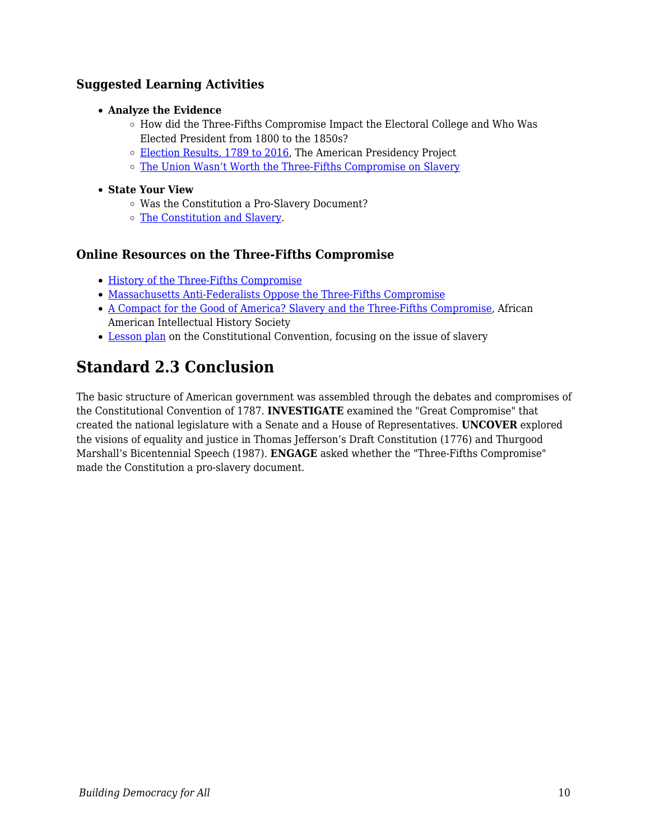### **Suggested Learning Activities**

- **Analyze the Evidence**
	- $\circ$  How did the Three-Fifths Compromise Impact the Electoral College and Who Was Elected President from 1800 to the 1850s?
	- o [Election Results, 1789 to 2016](https://www.presidency.ucsb.edu/statistics/elections), The American Presidency Project
	- o [The Union Wasn't Worth the Three-Fifths Compromise on Slavery](https://www.nytimes.com/roomfordebate/2013/02/26/the-constitutions-immoral-compromise/the-union-wasnt-worth-the-three-fifths-compromise-on-slavery)
- **State Your View**
	- Was the Constitution a Pro-Slavery Document?
	- o [The Constitution and Slavery](http://www.gilderlehrman.org/history-by-era/creating-new-government/resources/constitution-and-slavery).

#### **Online Resources on the Three-Fifths Compromise**

- [History of the Three-Fifths Compromise](https://www.thoughtco.com/three-fifths-compromise-4588466)
- [Massachusetts Anti-Federalists Oppose the Three-Fifths Compromise](https://herb.ashp.cuny.edu/items/show/506)
- [A Compact for the Good of America? Slavery and the Three-Fifths Compromise](https://www.aaihs.org/a-compact-for-the-good-of-america-slavery-and-the-three-fifths-compromise/), African American Intellectual History Society
- [Lesson plan](http://teachingamericanhistory.org/lessonplans/act3/) on the Constitutional Convention, focusing on the issue of slavery

# **Standard 2.3 Conclusion**

The basic structure of American government was assembled through the debates and compromises of the Constitutional Convention of 1787. **INVESTIGATE** examined the "Great Compromise" that created the national legislature with a Senate and a House of Representatives. **UNCOVER** explored the visions of equality and justice in Thomas Jefferson's Draft Constitution (1776) and Thurgood Marshall's Bicentennial Speech (1987). **ENGAGE** asked whether the "Three-Fifths Compromise" made the Constitution a pro-slavery document.